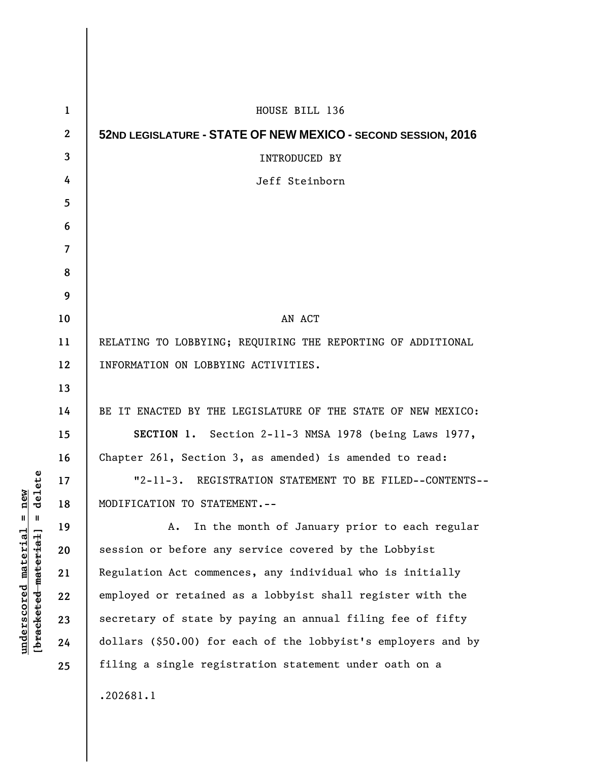| $\mathbf{1}$ | HOUSE BILL 136                                                |
|--------------|---------------------------------------------------------------|
| $\mathbf{2}$ | 52ND LEGISLATURE - STATE OF NEW MEXICO - SECOND SESSION, 2016 |
| 3            | <b>INTRODUCED BY</b>                                          |
| 4            | Jeff Steinborn                                                |
| 5            |                                                               |
| 6            |                                                               |
| 7            |                                                               |
| 8            |                                                               |
| 9            |                                                               |
| 10           | AN ACT                                                        |
| 11           | RELATING TO LOBBYING; REQUIRING THE REPORTING OF ADDITIONAL   |
| 12           | INFORMATION ON LOBBYING ACTIVITIES.                           |
| 13           |                                                               |
| 14           | BE IT ENACTED BY THE LEGISLATURE OF THE STATE OF NEW MEXICO:  |
| 15           | SECTION 1. Section 2-11-3 NMSA 1978 (being Laws 1977,         |
| 16           | Chapter 261, Section 3, as amended) is amended to read:       |
| 17           | "2-11-3. REGISTRATION STATEMENT TO BE FILED--CONTENTS--       |
| 18           | MODIFICATION TO STATEMENT.--                                  |
| 19           | In the month of January prior to each regular<br>Α.           |
| 20           | session or before any service covered by the Lobbyist         |
| 21           | Regulation Act commences, any individual who is initially     |
| 22           | employed or retained as a lobbyist shall register with the    |
| 23           | secretary of state by paying an annual filing fee of fifty    |
| 24           | dollars (\$50.00) for each of the lobbyist's employers and by |
| 25           | filing a single registration statement under oath on a        |
|              | .202681.1                                                     |

 $[bracketeed-materiat] = delete$ **[bracketed material] = delete**  $underscored material = new$ **underscored material = new**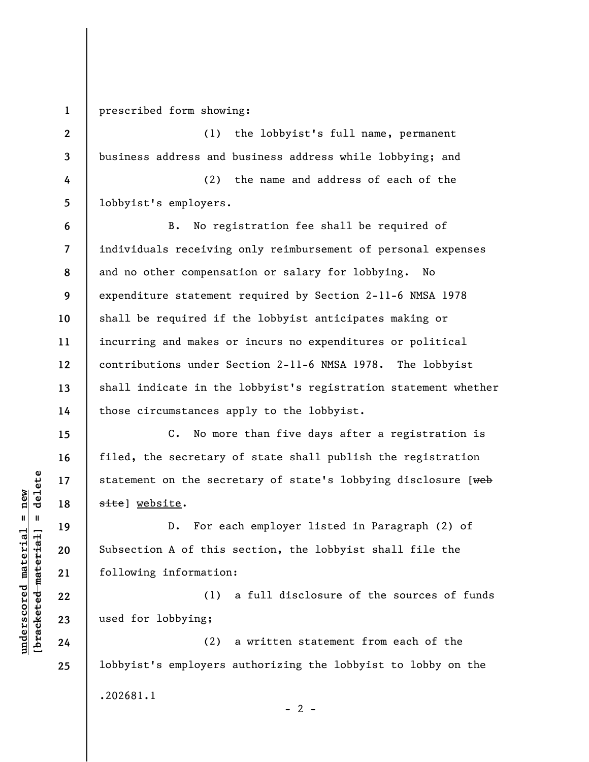**1** 

prescribed form showing:

**2 3 4 5 6 7 8 9 10 11 12 13 14**  (1) the lobbyist's full name, permanent business address and business address while lobbying; and (2) the name and address of each of the lobbyist's employers. B. No registration fee shall be required of individuals receiving only reimbursement of personal expenses and no other compensation or salary for lobbying. No expenditure statement required by Section 2-11-6 NMSA 1978 shall be required if the lobbyist anticipates making or incurring and makes or incurs no expenditures or political contributions under Section 2-11-6 NMSA 1978. The lobbyist shall indicate in the lobbyist's registration statement whether those circumstances apply to the lobbyist.

C. No more than five days after a registration is filed, the secretary of state shall publish the registration statement on the secretary of state's lobbying disclosure [web site] website.

D. For each employer listed in Paragraph (2) of Subsection A of this section, the lobbyist shall file the following information:

(1) a full disclosure of the sources of funds used for lobbying;

(2) a written statement from each of the lobbyist's employers authorizing the lobbyist to lobby on the .202681.1  $- 2 -$ 

 $\frac{1}{2}$  intereted material = delete **[bracketed material] = delete**  $underscored material = new$ **underscored material = new**

**24** 

**15** 

**16** 

**17** 

**18** 

**19** 

**20** 

**21** 

**22** 

**23** 

**25**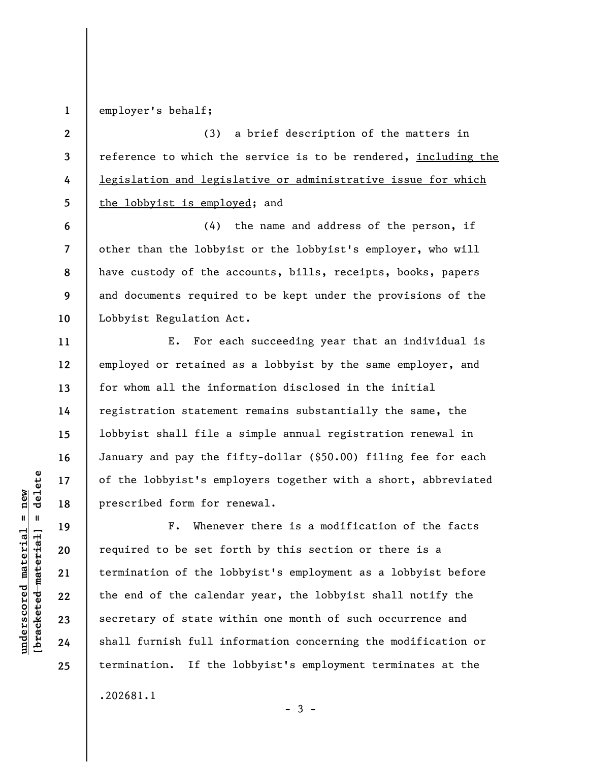**1**  employer's behalf;

**6** 

**7** 

**8** 

**9** 

**10** 

**11** 

**12** 

**13** 

**14** 

**15** 

**16** 

**17** 

**18** 

**19** 

**20** 

**21** 

**22** 

**23** 

**24** 

**25** 

**2 3 4 5**  (3) a brief description of the matters in reference to which the service is to be rendered, including the legislation and legislative or administrative issue for which the lobbyist is employed; and

(4) the name and address of the person, if other than the lobbyist or the lobbyist's employer, who will have custody of the accounts, bills, receipts, books, papers and documents required to be kept under the provisions of the Lobbyist Regulation Act.

E. For each succeeding year that an individual is employed or retained as a lobbyist by the same employer, and for whom all the information disclosed in the initial registration statement remains substantially the same, the lobbyist shall file a simple annual registration renewal in January and pay the fifty-dollar (\$50.00) filing fee for each of the lobbyist's employers together with a short, abbreviated prescribed form for renewal.

F. Whenever there is a modification of the facts required to be set forth by this section or there is a termination of the lobbyist's employment as a lobbyist before the end of the calendar year, the lobbyist shall notify the secretary of state within one month of such occurrence and shall furnish full information concerning the modification or termination. If the lobbyist's employment terminates at the .202681.1

 $\frac{1}{2}$  intereted material = delete **[bracketed material] = delete**  $underscored material = new$ **underscored material = new**

 $-3 -$